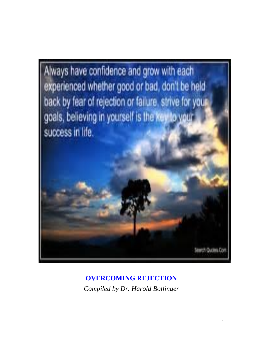

**OVERCOMING REJECTION** *Compiled by Dr. Harold Bollinger*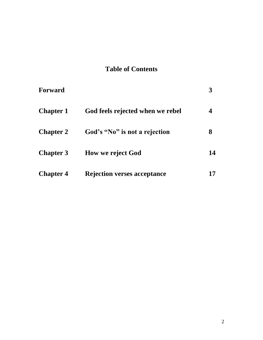# **Table of Contents**

| <b>Forward</b>   |                                    |    |
|------------------|------------------------------------|----|
| <b>Chapter 1</b> | God feels rejected when we rebel   |    |
| <b>Chapter 2</b> | God's "No" is not a rejection      | 8  |
| <b>Chapter 3</b> | <b>How we reject God</b>           | 14 |
| <b>Chapter 4</b> | <b>Rejection verses acceptance</b> |    |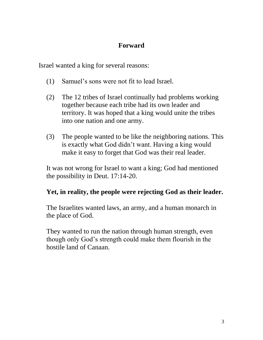# **Forward**

Israel wanted a king for several reasons:

- (1) Samuel's sons were not fit to lead Israel.
- (2) The 12 tribes of Israel continually had problems working together because each tribe had its own leader and territory. It was hoped that a king would unite the tribes into one nation and one army.
- (3) The people wanted to be like the neighboring nations. This is exactly what God didn't want. Having a king would make it easy to forget that God was their real leader.

It was not wrong for Israel to want a king; God had mentioned the possibility in Deut. 17:14-20.

# **Yet, in reality, the people were rejecting God as their leader.**

The Israelites wanted laws, an army, and a human monarch in the place of God.

They wanted to run the nation through human strength, even though only God's strength could make them flourish in the hostile land of Canaan.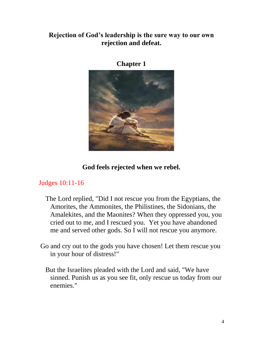### **Rejection of God's leadership is the sure way to our own rejection and defeat.**



**Chapter 1**

## **God feels rejected when we rebel.**

## Judges 10:11-16

- The Lord replied, "Did I not rescue you from the Egyptians, the Amorites, the Ammonites, the Philistines, the Sidonians, the Amalekites, and the Maonites? When they oppressed you, you cried out to me, and I rescued you. Yet you have abandoned me and served other gods. So I will not rescue you anymore.
- Go and cry out to the gods you have chosen! Let them rescue you in your hour of distress!"
	- But the Israelites pleaded with the Lord and said, "We have sinned. Punish us as you see fit, only rescue us today from our enemies."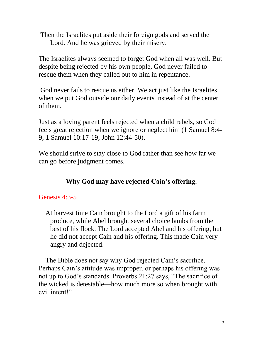Then the Israelites put aside their foreign gods and served the Lord. And he was grieved by their misery.

The Israelites always seemed to forget God when all was well. But despite being rejected by his own people, God never failed to rescue them when they called out to him in repentance.

God never fails to rescue us either. We act just like the Israelites when we put God outside our daily events instead of at the center of them.

Just as a loving parent feels rejected when a child rebels, so God feels great rejection when we ignore or neglect him (1 Samuel 8:4- 9; 1 Samuel 10:17-19; John 12:44-50).

We should strive to stay close to God rather than see how far we can go before judgment comes.

# **Why God may have rejected Cain's offering.**

## Genesis 4:3-5

 At harvest time Cain brought to the Lord a gift of his farm produce, while Abel brought several choice lambs from the best of his flock. The Lord accepted Abel and his offering, but he did not accept Cain and his offering. This made Cain very angry and dejected.

 The Bible does not say why God rejected Cain's sacrifice. Perhaps Cain's attitude was improper, or perhaps his offering was not up to God's standards. Proverbs 21:27 says, "The sacrifice of the wicked is detestable—how much more so when brought with evil intent!"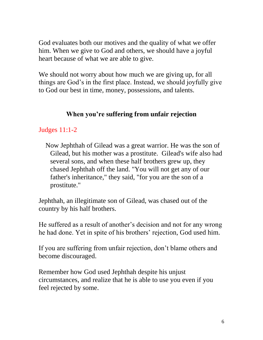God evaluates both our motives and the quality of what we offer him. When we give to God and others, we should have a joyful heart because of what we are able to give.

We should not worry about how much we are giving up, for all things are God's in the first place. Instead, we should joyfully give to God our best in time, money, possessions, and talents.

## **When you're suffering from unfair rejection**

### Judges 11:1-2

 Now Jephthah of Gilead was a great warrior. He was the son of Gilead, but his mother was a prostitute. Gilead's wife also had several sons, and when these half brothers grew up, they chased Jephthah off the land. "You will not get any of our father's inheritance," they said, "for you are the son of a prostitute."

Jephthah, an illegitimate son of Gilead, was chased out of the country by his half brothers.

He suffered as a result of another's decision and not for any wrong he had done. Yet in spite of his brothers' rejection, God used him.

If you are suffering from unfair rejection, don't blame others and become discouraged.

Remember how God used Jephthah despite his unjust circumstances, and realize that he is able to use you even if you feel rejected by some.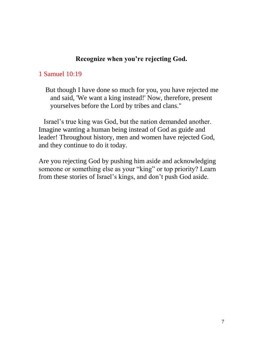#### **Recognize when you're rejecting God.**

#### 1 Samuel 10:19

 But though I have done so much for you, you have rejected me and said, 'We want a king instead!' Now, therefore, present yourselves before the Lord by tribes and clans."

 Israel's true king was God, but the nation demanded another. Imagine wanting a human being instead of God as guide and leader! Throughout history, men and women have rejected God, and they continue to do it today.

Are you rejecting God by pushing him aside and acknowledging someone or something else as your "king" or top priority? Learn from these stories of Israel's kings, and don't push God aside.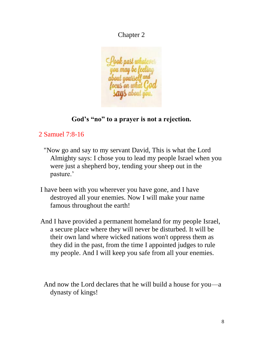Chapter 2



# **God's "no" to a prayer is not a rejection.**

# 2 Samuel 7:8-16

- "Now go and say to my servant David, This is what the Lord Almighty says: I chose you to lead my people Israel when you were just a shepherd boy, tending your sheep out in the pasture.'
- I have been with you wherever you have gone, and I have destroyed all your enemies. Now I will make your name famous throughout the earth!
- And I have provided a permanent homeland for my people Israel, a secure place where they will never be disturbed. It will be their own land where wicked nations won't oppress them as they did in the past, from the time I appointed judges to rule my people. And I will keep you safe from all your enemies.

 And now the Lord declares that he will build a house for you—a dynasty of kings!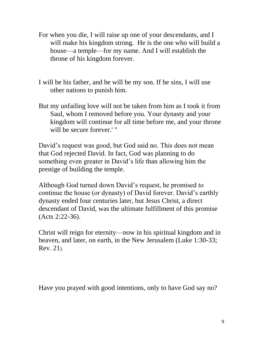- For when you die, I will raise up one of your descendants, and I will make his kingdom strong. He is the one who will build a house—a temple—for my name. And I will establish the throne of his kingdom forever.
- I will be his father, and he will be my son. If he sins, I will use other nations to punish him.
- But my unfailing love will not be taken from him as I took it from Saul, whom I removed before you. Your dynasty and your kingdom will continue for all time before me, and your throne will be secure forever.' "

David's request was good, but God said no. This does not mean that God rejected David. In fact, God was planning to do something even greater in David's life than allowing him the prestige of building the temple.

Although God turned down David's request, he promised to continue the house (or dynasty) of David forever. David's earthly dynasty ended four centuries later, but Jesus Christ, a direct descendant of David, was the ultimate fulfillment of this promise (Acts 2:22-36).

Christ will reign for eternity—now in his spiritual kingdom and in heaven, and later, on earth, in the New Jerusalem (Luke 1:30-33; Rev. 21).

Have you prayed with good intentions, only to have God say no?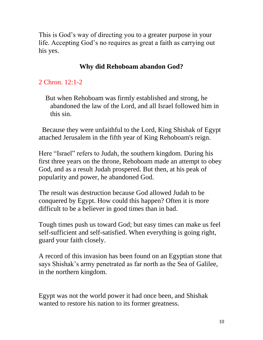This is God's way of directing you to a greater purpose in your life. Accepting God's no requires as great a faith as carrying out his yes.

# **Why did Rehoboam abandon God?**

### 2 Chron. 12:1-2

 But when Rehoboam was firmly established and strong, he abandoned the law of the Lord, and all Israel followed him in this sin.

 Because they were unfaithful to the Lord, King Shishak of Egypt attached Jerusalem in the fifth year of King Rehoboam's reign.

Here "Israel" refers to Judah, the southern kingdom. During his first three years on the throne, Rehoboam made an attempt to obey God, and as a result Judah prospered. But then, at his peak of popularity and power, he abandoned God.

The result was destruction because God allowed Judah to be conquered by Egypt. How could this happen? Often it is more difficult to be a believer in good times than in bad.

Tough times push us toward God; but easy times can make us feel self-sufficient and self-satisfied. When everything is going right, guard your faith closely.

A record of this invasion has been found on an Egyptian stone that says Shishak's army penetrated as far north as the Sea of Galilee, in the northern kingdom.

Egypt was not the world power it had once been, and Shishak wanted to restore his nation to its former greatness.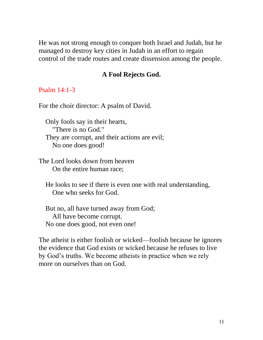He was not strong enough to conquer both Israel and Judah, but he managed to destroy key cities in Judah in an effort to regain control of the trade routes and create dissension among the people.

#### **A Fool Rejects God.**

#### Psalm 14:1-3

For the choir director: A psalm of David.

 Only fools say in their hearts, "There is no God." They are corrupt, and their actions are evil; No one does good!

The Lord looks down from heaven On the entire human race;

 He looks to see if there is even one with real understanding, One who seeks for God.

 But no, all have turned away from God; All have become corrupt. No one does good, not even one!

The atheist is either foolish or wicked—foolish because he ignores the evidence that God exists or wicked because he refuses to live by God's truths. We become atheists in practice when we rely more on ourselves than on God.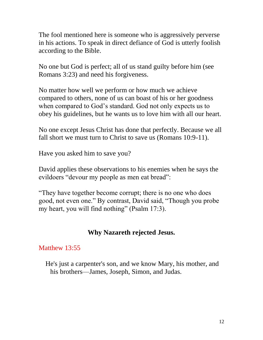The fool mentioned here is someone who is aggressively perverse in his actions. To speak in direct defiance of God is utterly foolish according to the Bible.

No one but God is perfect; all of us stand guilty before him (see Romans 3:23) and need his forgiveness.

No matter how well we perform or how much we achieve compared to others, none of us can boast of his or her goodness when compared to God's standard. God not only expects us to obey his guidelines, but he wants us to love him with all our heart.

No one except Jesus Christ has done that perfectly. Because we all fall short we must turn to Christ to save us (Romans 10:9-11).

Have you asked him to save you?

David applies these observations to his enemies when he says the evildoers "devour my people as men eat bread":

"They have together become corrupt; there is no one who does good, not even one." By contrast, David said, "Though you probe my heart, you will find nothing" (Psalm 17:3).

#### **Why Nazareth rejected Jesus.**

#### Matthew 13:55

 He's just a carpenter's son, and we know Mary, his mother, and his brothers—James, Joseph, Simon, and Judas.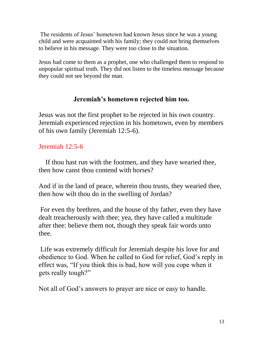The residents of Jesus' hometown had known Jesus since he was a young child and were acquainted with his family; they could not bring themselves to believe in his message. They were too close to the situation.

Jesus had come to them as a prophet, one who challenged them to respond to unpopular spiritual truth. They did not listen to the timeless message because they could not see beyond the man.

## **Jeremiah's hometown rejected him too.**

Jesus was not the first prophet to be rejected in his own country. Jeremiah experienced rejection in his hometown, even by members of his own family (Jeremiah 12:5-6).

## Jeremiah 12:5-6

 If thou hast run with the footmen, and they have wearied thee, then how canst thou contend with horses?

And if in the land of peace, wherein thou trusts, they wearied thee, then how wilt thou do in the swelling of Jordan?

For even thy brethren, and the house of thy father, even they have dealt treacherously with thee; yea, they have called a multitude after thee: believe them not, though they speak fair words unto thee.

Life was extremely difficult for Jeremiah despite his love for and obedience to God. When he called to God for relief, God's reply in effect was, "If you think this is bad, how will you cope when it gets really tough?"

Not all of God's answers to prayer are nice or easy to handle.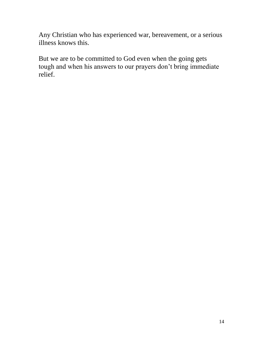Any Christian who has experienced war, bereavement, or a serious illness knows this.

But we are to be committed to God even when the going gets tough and when his answers to our prayers don't bring immediate relief.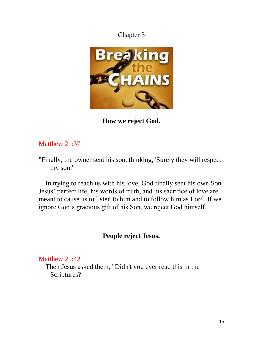# Chapter 3



**How we reject God.**

## Matthew 21:37

"Finally, the owner sent his son, thinking, 'Surely they will respect my son.'

 In trying to reach us with his love, God finally sent his own Son. Jesus' perfect life, his words of truth, and his sacrifice of love are meant to cause us to listen to him and to follow him as Lord. If we ignore God's gracious gift of his Son, we reject God himself.

## **People reject Jesus.**

#### Matthew 21:42

 Then Jesus asked them, "Didn't you ever read this in the Scriptures?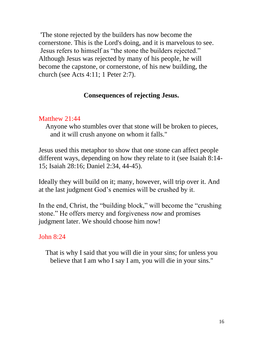'The stone rejected by the builders has now become the cornerstone. This is the Lord's doing, and it is marvelous to see. Jesus refers to himself as "the stone the builders rejected." Although Jesus was rejected by many of his people, he will become the capstone, or cornerstone, of his new building, the church (see Acts 4:11; 1 Peter 2:7).

### **Consequences of rejecting Jesus.**

### Matthew 21:44

 Anyone who stumbles over that stone will be broken to pieces, and it will crush anyone on whom it falls."

Jesus used this metaphor to show that one stone can affect people different ways, depending on how they relate to it (see Isaiah 8:14- 15; Isaiah 28:16; Daniel 2:34, 44-45).

Ideally they will build on it; many, however, will trip over it. And at the last judgment God's enemies will be crushed by it.

In the end, Christ, the "building block," will become the "crushing stone." He offers mercy and forgiveness *now* and promises judgment later. We should choose him now!

John 8:24

 That is why I said that you will die in your sins; for unless you believe that I am who I say I am, you will die in your sins."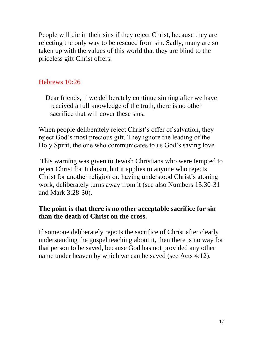People will die in their sins if they reject Christ, because they are rejecting the only way to be rescued from sin. Sadly, many are so taken up with the values of this world that they are blind to the priceless gift Christ offers.

### Hebrews 10:26

 Dear friends, if we deliberately continue sinning after we have received a full knowledge of the truth, there is no other sacrifice that will cover these sins.

When people deliberately reject Christ's offer of salvation, they reject God's most precious gift. They ignore the leading of the Holy Spirit, the one who communicates to us God's saving love.

This warning was given to Jewish Christians who were tempted to reject Christ for Judaism, but it applies to anyone who rejects Christ for another religion or, having understood Christ's atoning work, deliberately turns away from it (see also Numbers 15:30-31 and Mark 3:28-30).

### **The point is that there is no other acceptable sacrifice for sin than the death of Christ on the cross.**

If someone deliberately rejects the sacrifice of Christ after clearly understanding the gospel teaching about it, then there is no way for that person to be saved, because God has not provided any other name under heaven by which we can be saved (see Acts 4:12).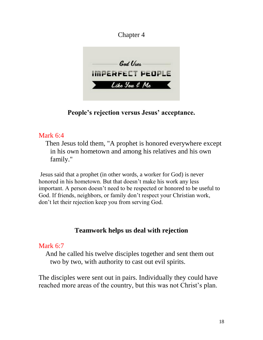# Chapter 4



**People's rejection versus Jesus' acceptance.**

### Mark 6:4

 Then Jesus told them, "A prophet is honored everywhere except in his own hometown and among his relatives and his own family."

Jesus said that a prophet (in other words, a worker for God) is never honored in his hometown. But that doesn't make his work any less important. A person doesn't need to be respected or honored to be useful to God. If friends, neighbors, or family don't respect your Christian work, don't let their rejection keep you from serving God.

# **Teamwork helps us deal with rejection**

#### Mark 6:7

 And he called his twelve disciples together and sent them out two by two, with authority to cast out evil spirits.

The disciples were sent out in pairs. Individually they could have reached more areas of the country, but this was not Christ's plan.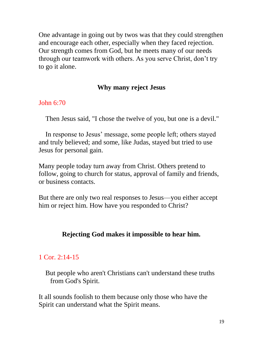One advantage in going out by twos was that they could strengthen and encourage each other, especially when they faced rejection. Our strength comes from God, but he meets many of our needs through our teamwork with others. As you serve Christ, don't try to go it alone.

### **Why many reject Jesus**

#### John 6:70

Then Jesus said, "I chose the twelve of you, but one is a devil."

 In response to Jesus' message, some people left; others stayed and truly believed; and some, like Judas, stayed but tried to use Jesus for personal gain.

Many people today turn away from Christ. Others pretend to follow, going to church for status, approval of family and friends, or business contacts.

But there are only two real responses to Jesus—you either accept him or reject him. How have you responded to Christ?

## **Rejecting God makes it impossible to hear him.**

## 1 Cor. 2:14-15

 But people who aren't Christians can't understand these truths from God's Spirit.

It all sounds foolish to them because only those who have the Spirit can understand what the Spirit means.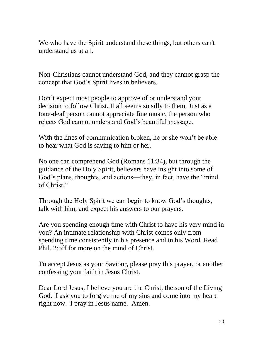We who have the Spirit understand these things, but others can't understand us at all.

Non-Christians cannot understand God, and they cannot grasp the concept that God's Spirit lives in believers.

Don't expect most people to approve of or understand your decision to follow Christ. It all seems so silly to them. Just as a tone-deaf person cannot appreciate fine music, the person who rejects God cannot understand God's beautiful message.

With the lines of communication broken, he or she won't be able to hear what God is saying to him or her.

No one can comprehend God (Romans 11:34), but through the guidance of the Holy Spirit, believers have insight into some of God's plans, thoughts, and actions—they, in fact, have the "mind of Christ<sup>"</sup>

Through the Holy Spirit we can begin to know God's thoughts, talk with him, and expect his answers to our prayers.

Are you spending enough time with Christ to have his very mind in you? An intimate relationship with Christ comes only from spending time consistently in his presence and in his Word. Read Phil. 2:5ff for more on the mind of Christ.

To accept Jesus as your Saviour, please pray this prayer, or another confessing your faith in Jesus Christ.

Dear Lord Jesus, I believe you are the Christ, the son of the Living God. I ask you to forgive me of my sins and come into my heart right now. I pray in Jesus name. Amen.